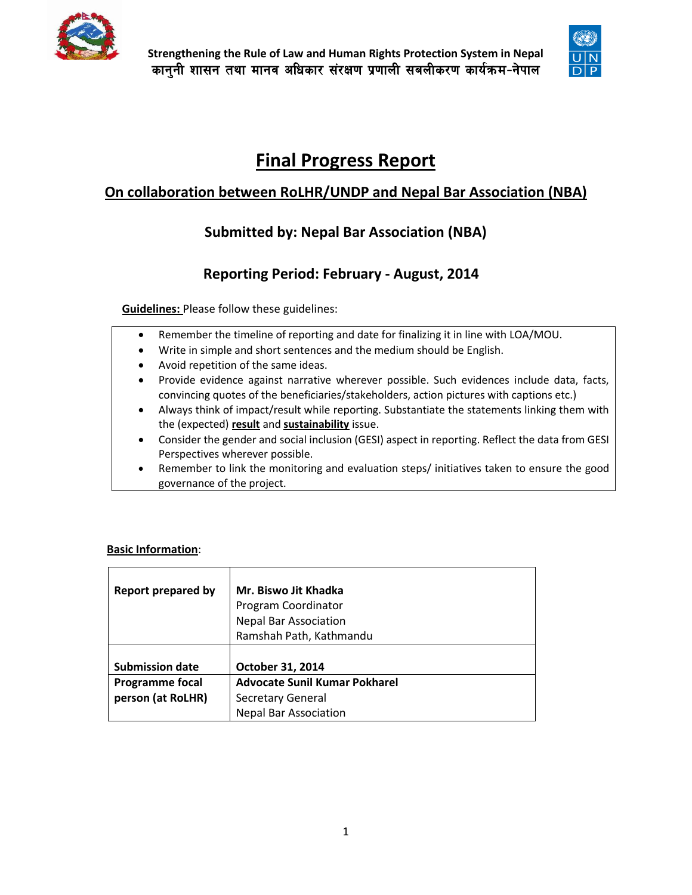



# **Final Progress Report**

# **On collaboration between RoLHR/UNDP and Nepal Bar Association (NBA)**

# **Submitted by: Nepal Bar Association (NBA)**

# **Reporting Period: February - August, 2014**

**Guidelines:** Please follow these guidelines:

- Remember the timeline of reporting and date for finalizing it in line with LOA/MOU.
- Write in simple and short sentences and the medium should be English.
- Avoid repetition of the same ideas.
- Provide evidence against narrative wherever possible. Such evidences include data, facts, convincing quotes of the beneficiaries/stakeholders, action pictures with captions etc.)
- Always think of impact/result while reporting. Substantiate the statements linking them with the (expected) **result** and **sustainability** issue.
- Consider the gender and social inclusion (GESI) aspect in reporting. Reflect the data from GESI Perspectives wherever possible.
- Remember to link the monitoring and evaluation steps/ initiatives taken to ensure the good governance of the project.

# **Basic Information**:

| <b>Report prepared by</b> | Mr. Biswo Jit Khadka                 |  |  |  |
|---------------------------|--------------------------------------|--|--|--|
|                           | Program Coordinator                  |  |  |  |
|                           | <b>Nepal Bar Association</b>         |  |  |  |
|                           | Ramshah Path, Kathmandu              |  |  |  |
|                           |                                      |  |  |  |
| <b>Submission date</b>    | October 31, 2014                     |  |  |  |
| <b>Programme focal</b>    | <b>Advocate Sunil Kumar Pokharel</b> |  |  |  |
| person (at RoLHR)         | <b>Secretary General</b>             |  |  |  |
|                           | <b>Nepal Bar Association</b>         |  |  |  |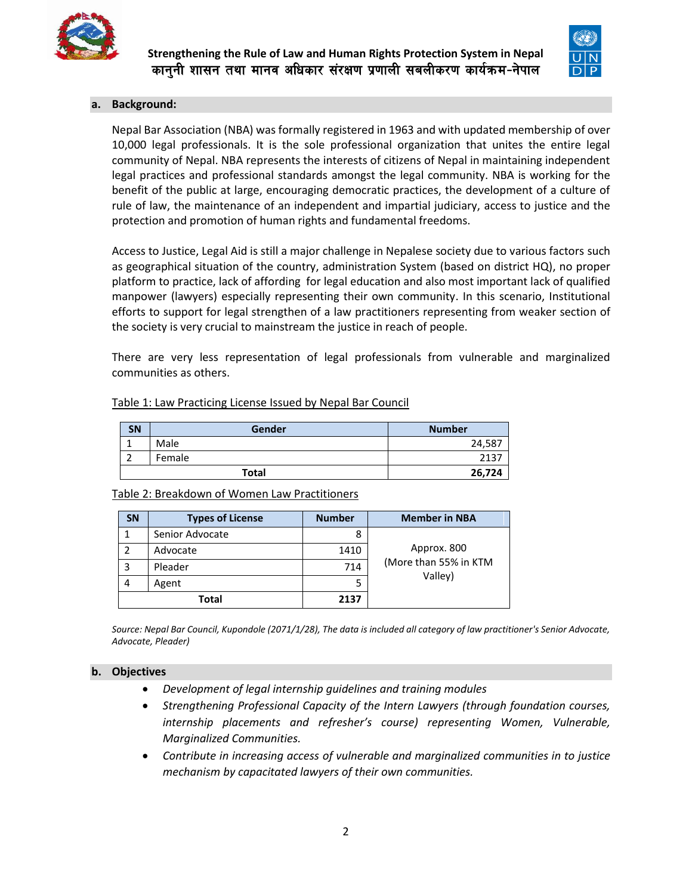



#### **a. Background:**

Nepal Bar Association (NBA) was formally registered in 1963 and with updated membership of over 10,000 legal professionals. It is the sole professional organization that unites the entire legal community of Nepal. NBA represents the interests of citizens of Nepal in maintaining independent legal practices and professional standards amongst the legal community. NBA is working for the benefit of the public at large, encouraging democratic practices, the development of a culture of rule of law, the maintenance of an independent and impartial judiciary, access to justice and the protection and promotion of human rights and fundamental freedoms.

Access to Justice, Legal Aid is still a major challenge in Nepalese society due to various factors such as geographical situation of the country, administration System (based on district HQ), no proper platform to practice, lack of affording for legal education and also most important lack of qualified manpower (lawyers) especially representing their own community. In this scenario, Institutional efforts to support for legal strengthen of a law practitioners representing from weaker section of the society is very crucial to mainstream the justice in reach of people.

There are very less representation of legal professionals from vulnerable and marginalized communities as others.

# Table 1: Law Practicing License Issued by Nepal Bar Council

| <b>SN</b> | Gender       | <b>Number</b> |
|-----------|--------------|---------------|
|           | Male         | 24,587        |
|           | Female       | 2137          |
|           | <b>Total</b> | 26,724        |

Table 2: Breakdown of Women Law Practitioners

| <b>SN</b> | <b>Types of License</b> | <b>Number</b> | <b>Member in NBA</b>  |  |
|-----------|-------------------------|---------------|-----------------------|--|
|           | Senior Advocate         | 8             |                       |  |
|           | Advocate                | 1410          | Approx. 800           |  |
| 3         | Pleader                 | 714           | (More than 55% in KTM |  |
| 4         | Agent                   | 5             | Valley)               |  |
| Total     |                         | 2137          |                       |  |

*Source: Nepal Bar Council, Kupondole (2071/1/28), The data is included all category of law practitioner's Senior Advocate, Advocate, Pleader)*

#### **b. Objectives**

- *Development of legal internship guidelines and training modules*
- *Strengthening Professional Capacity of the Intern Lawyers (through foundation courses, internship placements and refresher's course) representing Women, Vulnerable, Marginalized Communities.*
- *Contribute in increasing access of vulnerable and marginalized communities in to justice mechanism by capacitated lawyers of their own communities.*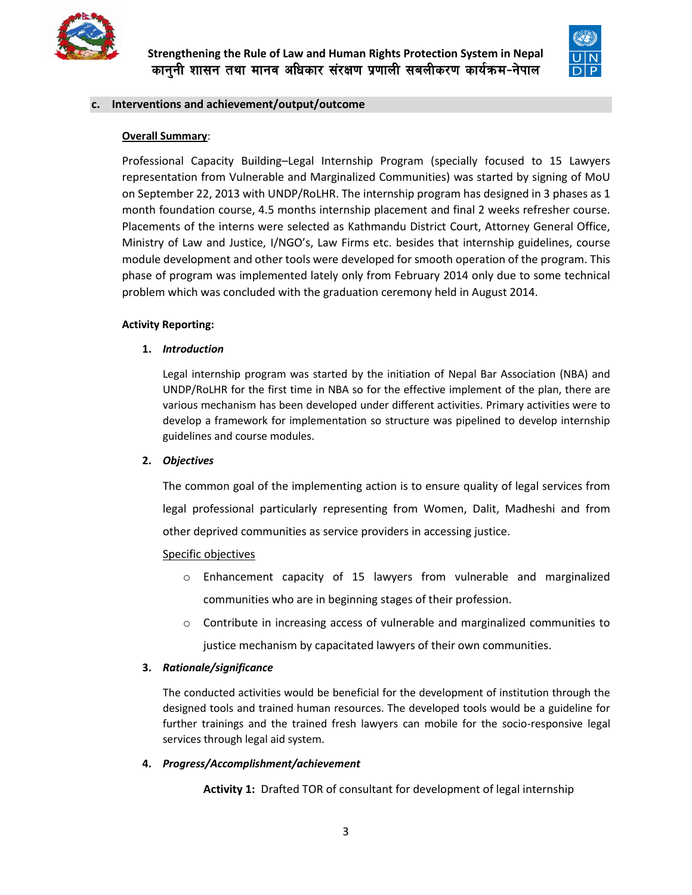



#### **c. Interventions and achievement/output/outcome**

### **Overall Summary**:

Professional Capacity Building–Legal Internship Program (specially focused to 15 Lawyers representation from Vulnerable and Marginalized Communities) was started by signing of MoU on September 22, 2013 with UNDP/RoLHR. The internship program has designed in 3 phases as 1 month foundation course, 4.5 months internship placement and final 2 weeks refresher course. Placements of the interns were selected as Kathmandu District Court, Attorney General Office, Ministry of Law and Justice, I/NGO's, Law Firms etc. besides that internship guidelines, course module development and other tools were developed for smooth operation of the program. This phase of program was implemented lately only from February 2014 only due to some technical problem which was concluded with the graduation ceremony held in August 2014.

#### **Activity Reporting:**

#### **1.** *Introduction*

Legal internship program was started by the initiation of Nepal Bar Association (NBA) and UNDP/RoLHR for the first time in NBA so for the effective implement of the plan, there are various mechanism has been developed under different activities. Primary activities were to develop a framework for implementation so structure was pipelined to develop internship guidelines and course modules.

# **2.** *Objectives*

The common goal of the implementing action is to ensure quality of legal services from legal professional particularly representing from Women, Dalit, Madheshi and from other deprived communities as service providers in accessing justice.

#### Specific objectives

- o Enhancement capacity of 15 lawyers from vulnerable and marginalized communities who are in beginning stages of their profession.
- $\circ$  Contribute in increasing access of vulnerable and marginalized communities to justice mechanism by capacitated lawyers of their own communities.

# **3.** *Rationale/significance*

The conducted activities would be beneficial for the development of institution through the designed tools and trained human resources. The developed tools would be a guideline for further trainings and the trained fresh lawyers can mobile for the socio-responsive legal services through legal aid system.

#### **4.** *Progress/Accomplishment/achievement*

**Activity 1:** Drafted TOR of consultant for development of legal internship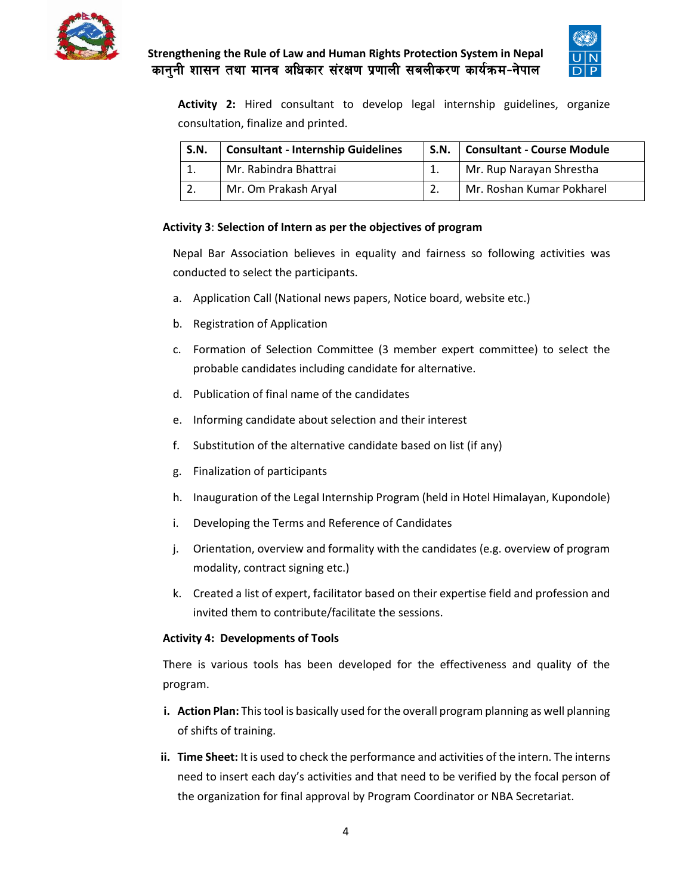



**Activity 2:** Hired consultant to develop legal internship guidelines, organize consultation, finalize and printed.

| <b>S.N.</b> | <b>Consultant - Internship Guidelines</b> |  | S.N.   Consultant - Course Module |  |
|-------------|-------------------------------------------|--|-----------------------------------|--|
|             | Mr. Rabindra Bhattrai                     |  | Mr. Rup Narayan Shrestha          |  |
|             | Mr. Om Prakash Aryal                      |  | Mr. Roshan Kumar Pokharel         |  |

# **Activity 3**: **Selection of Intern as per the objectives of program**

Nepal Bar Association believes in equality and fairness so following activities was conducted to select the participants.

- a. Application Call (National news papers, Notice board, website etc.)
- b. Registration of Application
- c. Formation of Selection Committee (3 member expert committee) to select the probable candidates including candidate for alternative.
- d. Publication of final name of the candidates
- e. Informing candidate about selection and their interest
- f. Substitution of the alternative candidate based on list (if any)
- g. Finalization of participants
- h. Inauguration of the Legal Internship Program (held in Hotel Himalayan, Kupondole)
- i. Developing the Terms and Reference of Candidates
- j. Orientation, overview and formality with the candidates (e.g. overview of program modality, contract signing etc.)
- k. Created a list of expert, facilitator based on their expertise field and profession and invited them to contribute/facilitate the sessions.

# **Activity 4: Developments of Tools**

There is various tools has been developed for the effectiveness and quality of the program.

- **i. Action Plan:** This tool is basically used for the overall program planning as well planning of shifts of training.
- **ii. Time Sheet:** It is used to check the performance and activities of the intern. The interns need to insert each day's activities and that need to be verified by the focal person of the organization for final approval by Program Coordinator or NBA Secretariat.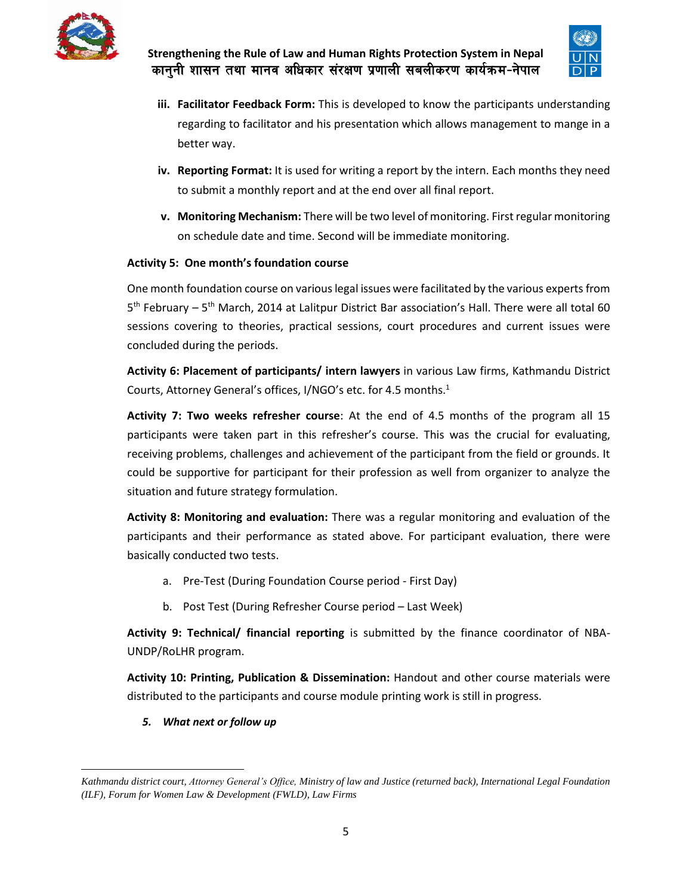



- **iii. Facilitator Feedback Form:** This is developed to know the participants understanding regarding to facilitator and his presentation which allows management to mange in a better way.
- **iv. Reporting Format:** It is used for writing a report by the intern. Each months they need to submit a monthly report and at the end over all final report.
- **v. Monitoring Mechanism:** There will be two level of monitoring. First regular monitoring on schedule date and time. Second will be immediate monitoring.

# **Activity 5: One month's foundation course**

One month foundation course on various legal issues were facilitated by the various experts from 5<sup>th</sup> February – 5<sup>th</sup> March, 2014 at Lalitpur District Bar association's Hall. There were all total 60 sessions covering to theories, practical sessions, court procedures and current issues were concluded during the periods.

**Activity 6: Placement of participants/ intern lawyers** in various Law firms, Kathmandu District Courts, Attorney General's offices, I/NGO's etc. for 4.5 months.<sup>1</sup>

**Activity 7: Two weeks refresher course**: At the end of 4.5 months of the program all 15 participants were taken part in this refresher's course. This was the crucial for evaluating, receiving problems, challenges and achievement of the participant from the field or grounds. It could be supportive for participant for their profession as well from organizer to analyze the situation and future strategy formulation.

**Activity 8: Monitoring and evaluation:** There was a regular monitoring and evaluation of the participants and their performance as stated above. For participant evaluation, there were basically conducted two tests.

- a. Pre-Test (During Foundation Course period First Day)
- b. Post Test (During Refresher Course period Last Week)

**Activity 9: Technical/ financial reporting** is submitted by the finance coordinator of NBA-UNDP/RoLHR program.

**Activity 10: Printing, Publication & Dissemination:** Handout and other course materials were distributed to the participants and course module printing work is still in progress.

*5. What next or follow up*

 $\overline{a}$ 

*Kathmandu district court, Attorney General's Office, Ministry of law and Justice (returned back), International Legal Foundation (ILF), Forum for Women Law & Development (FWLD), Law Firms*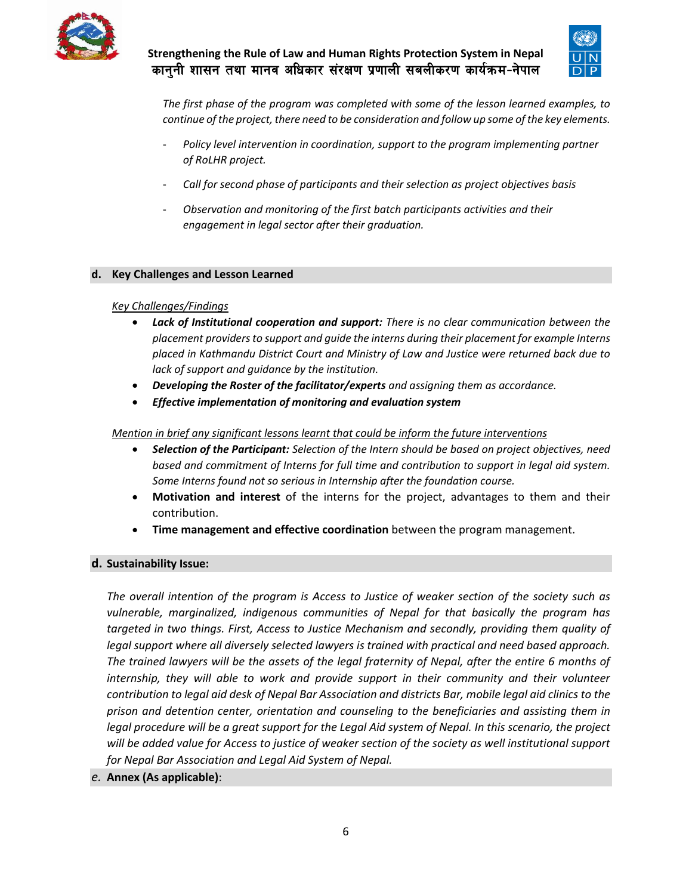



*The first phase of the program was completed with some of the lesson learned examples, to continue of the project, there need to be consideration and follow up some of the key elements.*

- *Policy level intervention in coordination, support to the program implementing partner of RoLHR project.*
- *Call for second phase of participants and their selection as project objectives basis*
- *Observation and monitoring of the first batch participants activities and their engagement in legal sector after their graduation.*

#### **d. Key Challenges and Lesson Learned**

#### *Key Challenges/Findings*

- *Lack of Institutional cooperation and support: There is no clear communication between the placement providers to support and guide the interns during their placement for example Interns placed in Kathmandu District Court and Ministry of Law and Justice were returned back due to lack of support and guidance by the institution.*
- *Developing the Roster of the facilitator/experts and assigning them as accordance.*
- *Effective implementation of monitoring and evaluation system*

#### *Mention in brief any significant lessons learnt that could be inform the future interventions*

- *Selection of the Participant: Selection of the Intern should be based on project objectives, need based and commitment of Interns for full time and contribution to support in legal aid system. Some Interns found not so serious in Internship after the foundation course.*
- **Motivation and interest** of the interns for the project, advantages to them and their contribution.
- **Time management and effective coordination** between the program management.

# **d. Sustainability Issue:**

*The overall intention of the program is Access to Justice of weaker section of the society such as vulnerable, marginalized, indigenous communities of Nepal for that basically the program has targeted in two things. First, Access to Justice Mechanism and secondly, providing them quality of legal support where all diversely selected lawyers is trained with practical and need based approach. The trained lawyers will be the assets of the legal fraternity of Nepal, after the entire 6 months of internship, they will able to work and provide support in their community and their volunteer contribution to legal aid desk of Nepal Bar Association and districts Bar, mobile legal aid clinics to the prison and detention center, orientation and counseling to the beneficiaries and assisting them in legal procedure will be a great support for the Legal Aid system of Nepal. In this scenario, the project will be added value for Access to justice of weaker section of the society as well institutional support for Nepal Bar Association and Legal Aid System of Nepal.*

# *e.* **Annex (As applicable)**: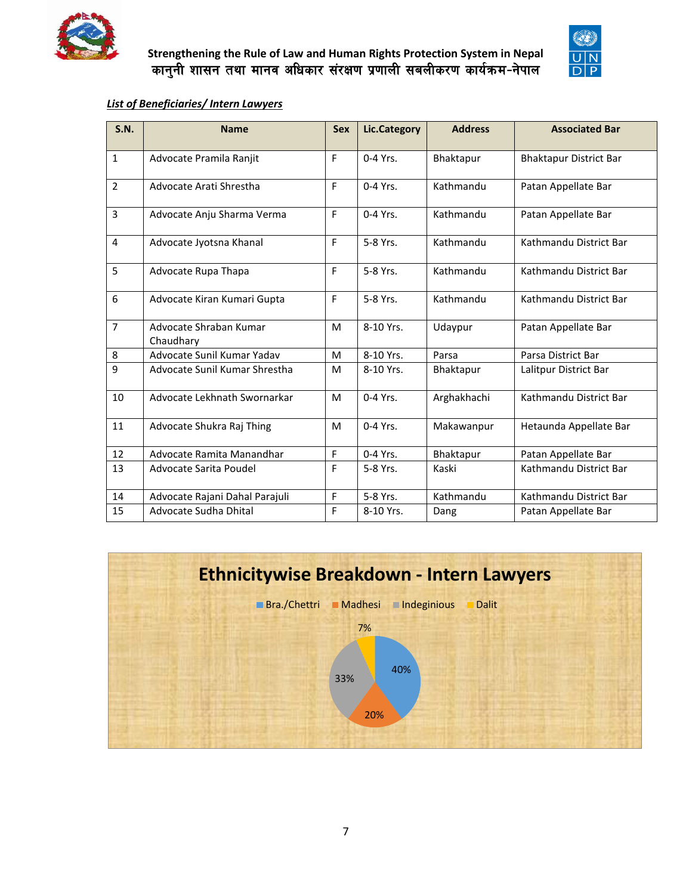



# *List of Beneficiaries/ Intern Lawyers*

| S.N.           | <b>Name</b>                         | <b>Sex</b>  | <b>Lic.Category</b> | <b>Address</b> | <b>Associated Bar</b>         |
|----------------|-------------------------------------|-------------|---------------------|----------------|-------------------------------|
| $\mathbf{1}$   | Advocate Pramila Ranjit             | F           | $0-4$ Yrs.          | Bhaktapur      | <b>Bhaktapur District Bar</b> |
| $\overline{2}$ | Advocate Arati Shrestha             | E           | $0-4$ Yrs.          | Kathmandu      | Patan Appellate Bar           |
| $\overline{3}$ | Advocate Anju Sharma Verma          | F           | $0-4$ Yrs.          | Kathmandu      | Patan Appellate Bar           |
| 4              | Advocate Jyotsna Khanal             | E           | 5-8 Yrs.            | Kathmandu      | Kathmandu District Bar        |
| 5              | Advocate Rupa Thapa                 | F           | 5-8 Yrs.            | Kathmandu      | Kathmandu District Bar        |
| 6              | Advocate Kiran Kumari Gupta         | F           | 5-8 Yrs.            | Kathmandu      | Kathmandu District Bar        |
| $\overline{7}$ | Advocate Shraban Kumar<br>Chaudhary | M           | 8-10 Yrs.           | Udaypur        | Patan Appellate Bar           |
| 8              | Advocate Sunil Kumar Yadav          | M           | 8-10 Yrs.           | Parsa          | Parsa District Bar            |
| 9              | Advocate Sunil Kumar Shrestha       | M           | 8-10 Yrs.           | Bhaktapur      | Lalitpur District Bar         |
| 10             | Advocate Lekhnath Swornarkar        | M           | 0-4 Yrs.            | Arghakhachi    | Kathmandu District Bar        |
| 11             | Advocate Shukra Raj Thing           | M           | $0-4$ Yrs.          | Makawanpur     | Hetaunda Appellate Bar        |
| 12             | Advocate Ramita Manandhar           | $\mathsf F$ | $0-4$ Yrs.          | Bhaktapur      | Patan Appellate Bar           |
| 13             | Advocate Sarita Poudel              | F           | 5-8 Yrs.            | Kaski          | Kathmandu District Bar        |
| 14             | Advocate Rajani Dahal Parajuli      | F           | 5-8 Yrs.            | Kathmandu      | Kathmandu District Bar        |
| 15             | Advocate Sudha Dhital               | F           | 8-10 Yrs.           | Dang           | Patan Appellate Bar           |

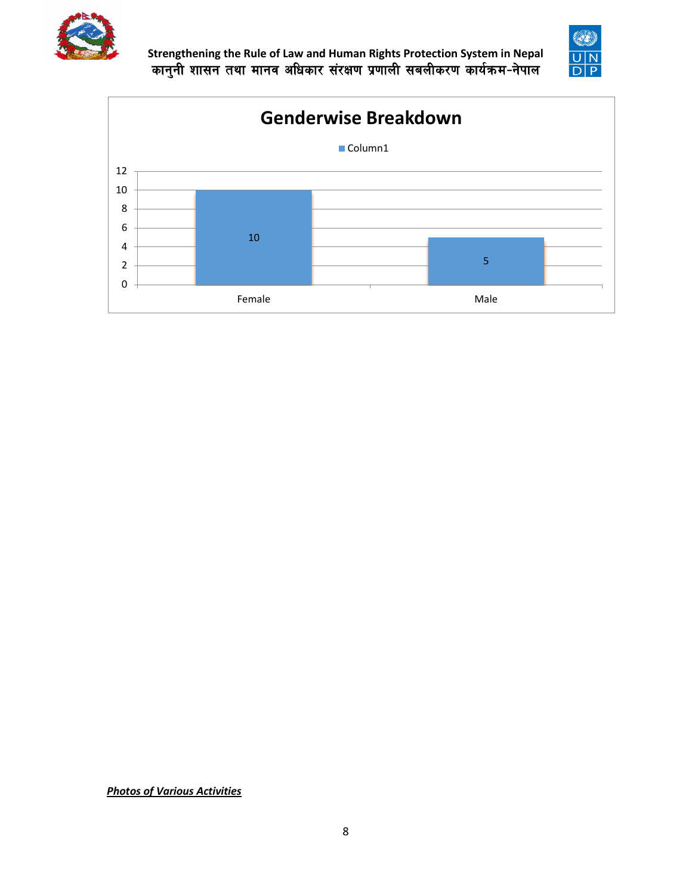





*Photos of Various Activities*